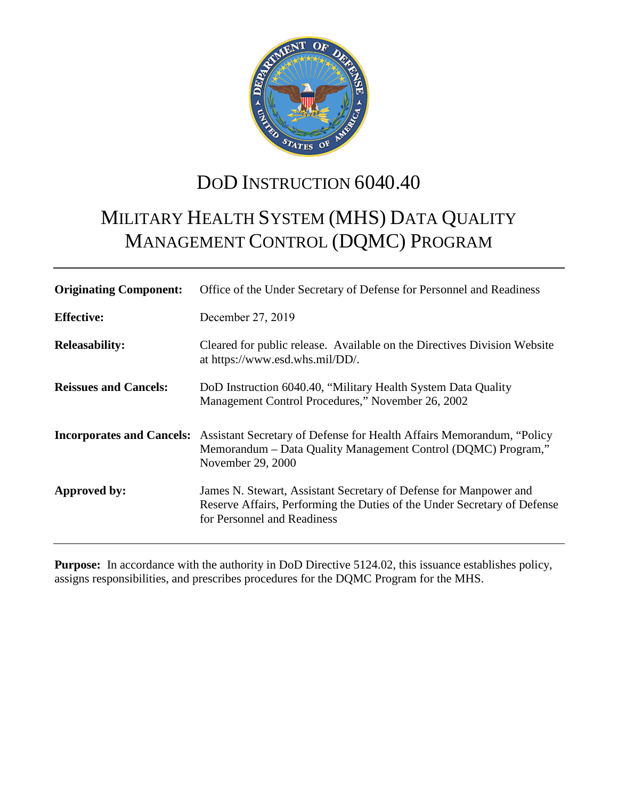

# DOD INSTRUCTION 6040.40

# MILITARY HEALTH SYSTEM (MHS) DATA QUALITY MANAGEMENT CONTROL (DQMC) PROGRAM

| <b>Originating Component:</b> | Office of the Under Secretary of Defense for Personnel and Readiness                                                                                                                          |
|-------------------------------|-----------------------------------------------------------------------------------------------------------------------------------------------------------------------------------------------|
| <b>Effective:</b>             | December 27, 2019                                                                                                                                                                             |
| <b>Releasability:</b>         | Cleared for public release. Available on the Directives Division Website<br>at https://www.esd.whs.mil/DD/.                                                                                   |
| <b>Reissues and Cancels:</b>  | DoD Instruction 6040.40, "Military Health System Data Quality<br>Management Control Procedures," November 26, 2002                                                                            |
|                               | <b>Incorporates and Cancels:</b> Assistant Secretary of Defense for Health Affairs Memorandum, "Policy"<br>Memorandum – Data Quality Management Control (DQMC) Program,"<br>November 29, 2000 |
| Approved by:                  | James N. Stewart, Assistant Secretary of Defense for Manpower and<br>Reserve Affairs, Performing the Duties of the Under Secretary of Defense<br>for Personnel and Readiness                  |

**Purpose:** In accordance with the authority in DoD Directive 5124.02, this issuance establishes policy, assigns responsibilities, and prescribes procedures for the DQMC Program for the MHS.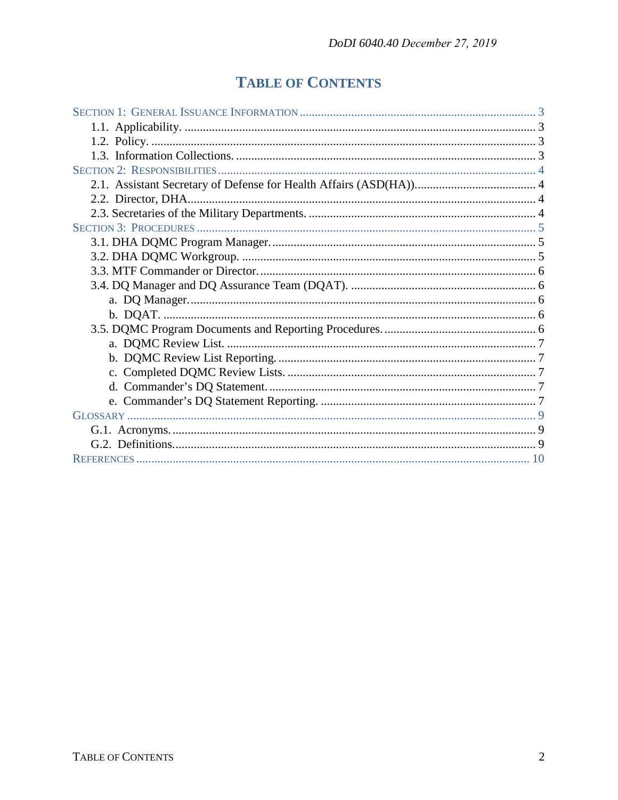## **TABLE OF CONTENTS**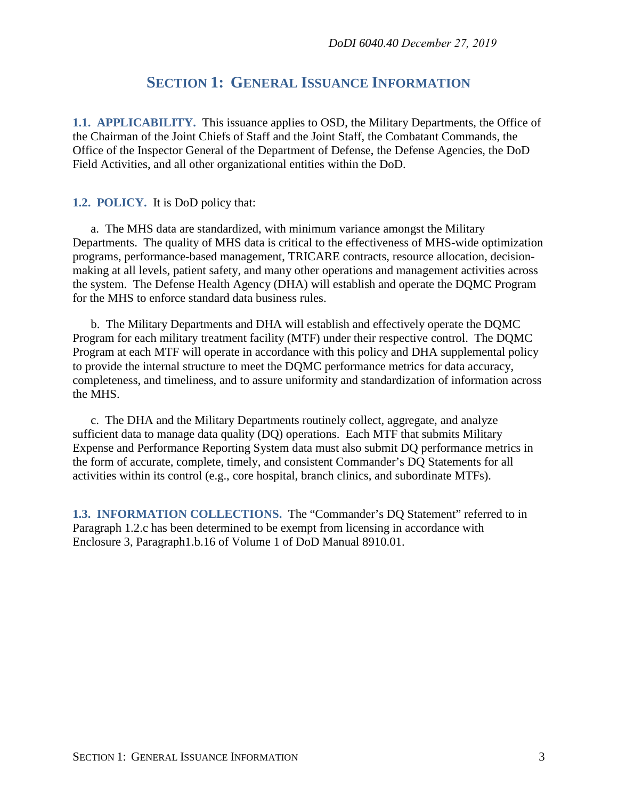## **SECTION 1: GENERAL ISSUANCE INFORMATION**

<span id="page-2-1"></span><span id="page-2-0"></span>**1.1. APPLICABILITY.** This issuance applies to OSD, the Military Departments, the Office of the Chairman of the Joint Chiefs of Staff and the Joint Staff, the Combatant Commands, the Office of the Inspector General of the Department of Defense, the Defense Agencies, the DoD Field Activities, and all other organizational entities within the DoD.

#### <span id="page-2-2"></span>**1.2. POLICY.** It is DoD policy that:

a. The MHS data are standardized, with minimum variance amongst the Military Departments. The quality of MHS data is critical to the effectiveness of MHS-wide optimization programs, performance-based management, TRICARE contracts, resource allocation, decisionmaking at all levels, patient safety, and many other operations and management activities across the system. The Defense Health Agency (DHA) will establish and operate the DQMC Program for the MHS to enforce standard data business rules.

b. The Military Departments and DHA will establish and effectively operate the DQMC Program for each military treatment facility (MTF) under their respective control. The DQMC Program at each MTF will operate in accordance with this policy and DHA supplemental policy to provide the internal structure to meet the DQMC performance metrics for data accuracy, completeness, and timeliness, and to assure uniformity and standardization of information across the MHS.

c. The DHA and the Military Departments routinely collect, aggregate, and analyze sufficient data to manage data quality (DQ) operations. Each MTF that submits Military Expense and Performance Reporting System data must also submit DQ performance metrics in the form of accurate, complete, timely, and consistent Commander's DQ Statements for all activities within its control (e.g., core hospital, branch clinics, and subordinate MTFs).

<span id="page-2-3"></span>**1.3. INFORMATION COLLECTIONS.** The "Commander's DQ Statement" referred to in Paragraph 1.2.c has been determined to be exempt from licensing in accordance with Enclosure 3, Paragraph1.b.16 of Volume 1 of DoD Manual 8910.01.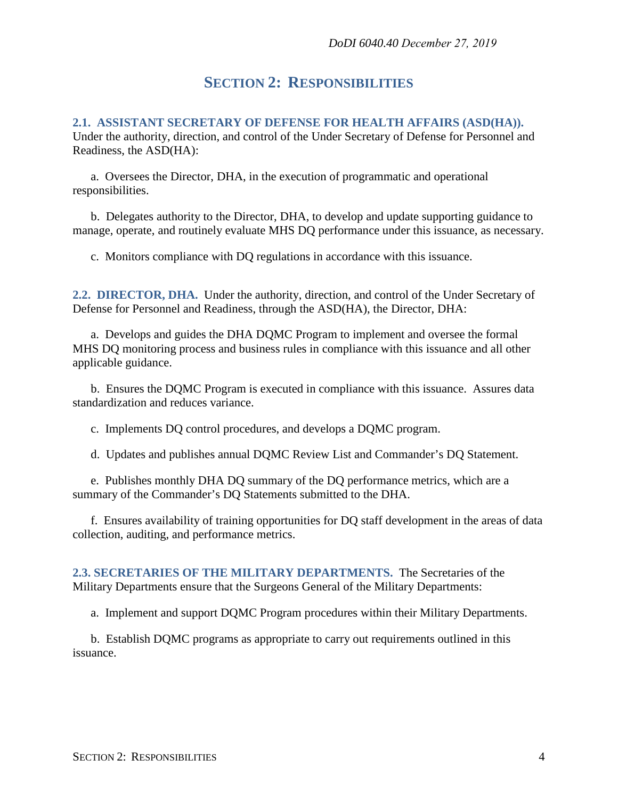## **SECTION 2: RESPONSIBILITIES**

## <span id="page-3-1"></span><span id="page-3-0"></span>**2.1. ASSISTANT SECRETARY OF DEFENSE FOR HEALTH AFFAIRS (ASD(HA)).**

Under the authority, direction, and control of the Under Secretary of Defense for Personnel and Readiness, the ASD(HA):

a. Oversees the Director, DHA, in the execution of programmatic and operational responsibilities.

b. Delegates authority to the Director, DHA, to develop and update supporting guidance to manage, operate, and routinely evaluate MHS DQ performance under this issuance, as necessary.

c. Monitors compliance with DQ regulations in accordance with this issuance.

<span id="page-3-2"></span>**2.2. DIRECTOR, DHA.** Under the authority, direction, and control of the Under Secretary of Defense for Personnel and Readiness, through the ASD(HA), the Director, DHA:

a. Develops and guides the DHA DQMC Program to implement and oversee the formal MHS DQ monitoring process and business rules in compliance with this issuance and all other applicable guidance.

b. Ensures the DQMC Program is executed in compliance with this issuance. Assures data standardization and reduces variance.

c. Implements DQ control procedures, and develops a DQMC program.

d. Updates and publishes annual DQMC Review List and Commander's DQ Statement.

e. Publishes monthly DHA DQ summary of the DQ performance metrics, which are a summary of the Commander's DQ Statements submitted to the DHA.

f. Ensures availability of training opportunities for DQ staff development in the areas of data collection, auditing, and performance metrics.

<span id="page-3-3"></span>**2.3. SECRETARIES OF THE MILITARY DEPARTMENTS.** The Secretaries of the Military Departments ensure that the Surgeons General of the Military Departments:

a. Implement and support DQMC Program procedures within their Military Departments.

b. Establish DQMC programs as appropriate to carry out requirements outlined in this issuance.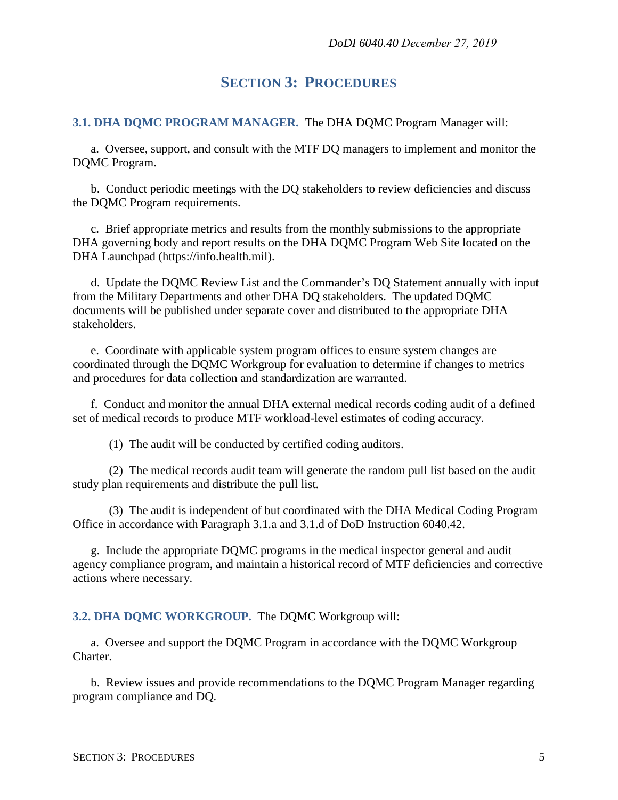## **SECTION 3: PROCEDURES**

#### <span id="page-4-1"></span><span id="page-4-0"></span>**3.1. DHA DQMC PROGRAM MANAGER.** The DHA DQMC Program Manager will:

a. Oversee, support, and consult with the MTF DQ managers to implement and monitor the DQMC Program.

b. Conduct periodic meetings with the DQ stakeholders to review deficiencies and discuss the DQMC Program requirements.

c. Brief appropriate metrics and results from the monthly submissions to the appropriate DHA governing body and report results on the DHA DQMC Program Web Site located on the DHA Launchpad (https://info.health.mil).

d. Update the DQMC Review List and the Commander's DQ Statement annually with input from the Military Departments and other DHA DQ stakeholders. The updated DQMC documents will be published under separate cover and distributed to the appropriate DHA stakeholders.

e. Coordinate with applicable system program offices to ensure system changes are coordinated through the DQMC Workgroup for evaluation to determine if changes to metrics and procedures for data collection and standardization are warranted.

f. Conduct and monitor the annual DHA external medical records coding audit of a defined set of medical records to produce MTF workload-level estimates of coding accuracy.

(1) The audit will be conducted by certified coding auditors.

(2) The medical records audit team will generate the random pull list based on the audit study plan requirements and distribute the pull list.

(3) The audit is independent of but coordinated with the DHA Medical Coding Program Office in accordance with Paragraph 3.1.a and 3.1.d of DoD Instruction 6040.42.

g. Include the appropriate DQMC programs in the medical inspector general and audit agency compliance program, and maintain a historical record of MTF deficiencies and corrective actions where necessary.

#### <span id="page-4-2"></span>**3.2. DHA DQMC WORKGROUP.** The DQMC Workgroup will:

a. Oversee and support the DQMC Program in accordance with the DQMC Workgroup Charter.

b. Review issues and provide recommendations to the DQMC Program Manager regarding program compliance and DQ.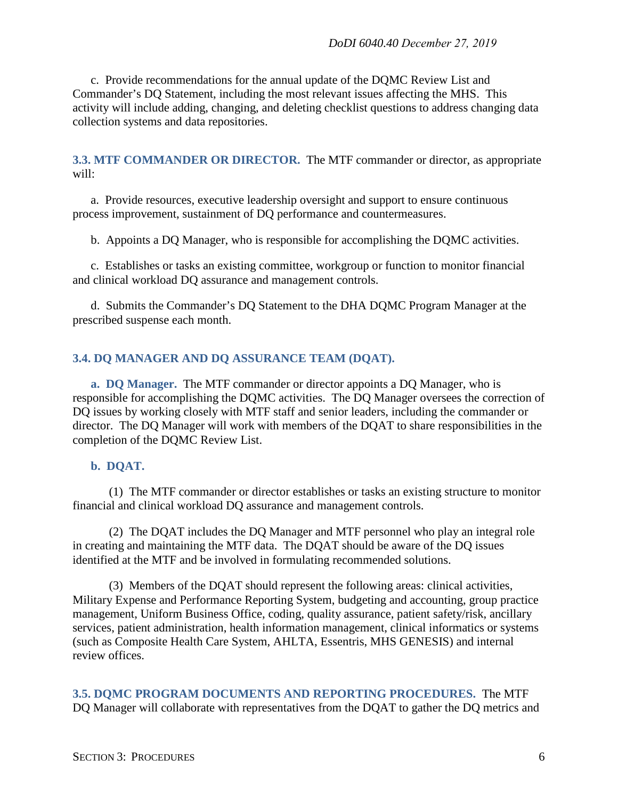c. Provide recommendations for the annual update of the DQMC Review List and Commander's DQ Statement, including the most relevant issues affecting the MHS. This activity will include adding, changing, and deleting checklist questions to address changing data collection systems and data repositories.

<span id="page-5-0"></span>**3.3. MTF COMMANDER OR DIRECTOR.** The MTF commander or director, as appropriate will:

a. Provide resources, executive leadership oversight and support to ensure continuous process improvement, sustainment of DQ performance and countermeasures.

b. Appoints a DQ Manager, who is responsible for accomplishing the DQMC activities.

c. Establishes or tasks an existing committee, workgroup or function to monitor financial and clinical workload DQ assurance and management controls.

d. Submits the Commander's DQ Statement to the DHA DQMC Program Manager at the prescribed suspense each month.

#### <span id="page-5-1"></span>**3.4. DQ MANAGER AND DQ ASSURANCE TEAM (DQAT).**

<span id="page-5-2"></span>**a. DQ Manager.** The MTF commander or director appoints a DQ Manager, who is responsible for accomplishing the DQMC activities. The DQ Manager oversees the correction of DQ issues by working closely with MTF staff and senior leaders, including the commander or director. The DQ Manager will work with members of the DQAT to share responsibilities in the completion of the DQMC Review List.

#### <span id="page-5-3"></span>**b. DQAT.**

(1) The MTF commander or director establishes or tasks an existing structure to monitor financial and clinical workload DQ assurance and management controls.

(2) The DQAT includes the DQ Manager and MTF personnel who play an integral role in creating and maintaining the MTF data. The DQAT should be aware of the DQ issues identified at the MTF and be involved in formulating recommended solutions.

(3) Members of the DQAT should represent the following areas: clinical activities, Military Expense and Performance Reporting System, budgeting and accounting, group practice management, Uniform Business Office, coding, quality assurance, patient safety/risk, ancillary services, patient administration, health information management, clinical informatics or systems (such as Composite Health Care System, AHLTA, Essentris, MHS GENESIS) and internal review offices.

<span id="page-5-4"></span>**3.5. DQMC PROGRAM DOCUMENTS AND REPORTING PROCEDURES.** The MTF DQ Manager will collaborate with representatives from the DQAT to gather the DQ metrics and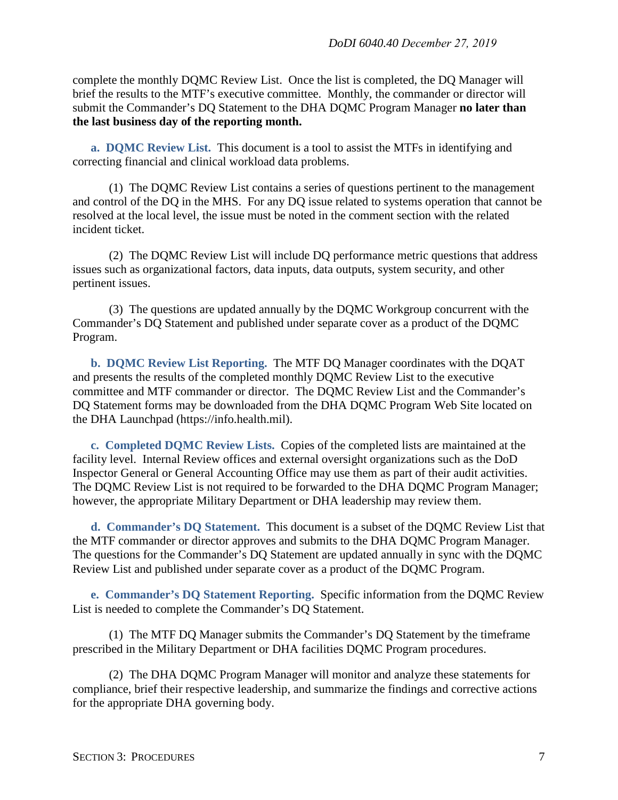complete the monthly DQMC Review List. Once the list is completed, the DQ Manager will brief the results to the MTF's executive committee. Monthly, the commander or director will submit the Commander's DQ Statement to the DHA DQMC Program Manager **no later than the last business day of the reporting month.**

<span id="page-6-0"></span>**a. DQMC Review List.** This document is a tool to assist the MTFs in identifying and correcting financial and clinical workload data problems.

(1) The DQMC Review List contains a series of questions pertinent to the management and control of the DQ in the MHS. For any DQ issue related to systems operation that cannot be resolved at the local level, the issue must be noted in the comment section with the related incident ticket.

(2) The DQMC Review List will include DQ performance metric questions that address issues such as organizational factors, data inputs, data outputs, system security, and other pertinent issues.

(3) The questions are updated annually by the DQMC Workgroup concurrent with the Commander's DQ Statement and published under separate cover as a product of the DQMC Program.

<span id="page-6-1"></span>**b. DQMC Review List Reporting.** The MTF DQ Manager coordinates with the DQAT and presents the results of the completed monthly DQMC Review List to the executive committee and MTF commander or director. The DQMC Review List and the Commander's DQ Statement forms may be downloaded from the DHA DQMC Program Web Site located on the DHA Launchpad (https://info.health.mil).

<span id="page-6-2"></span>**c. Completed DQMC Review Lists.** Copies of the completed lists are maintained at the facility level. Internal Review offices and external oversight organizations such as the DoD Inspector General or General Accounting Office may use them as part of their audit activities. The DQMC Review List is not required to be forwarded to the DHA DQMC Program Manager; however, the appropriate Military Department or DHA leadership may review them.

<span id="page-6-3"></span>**d. Commander's DQ Statement.** This document is a subset of the DQMC Review List that the MTF commander or director approves and submits to the DHA DQMC Program Manager. The questions for the Commander's DQ Statement are updated annually in sync with the DQMC Review List and published under separate cover as a product of the DQMC Program.

<span id="page-6-4"></span>**e. Commander's DQ Statement Reporting.** Specific information from the DQMC Review List is needed to complete the Commander's DQ Statement.

(1) The MTF DQ Manager submits the Commander's DQ Statement by the timeframe prescribed in the Military Department or DHA facilities DQMC Program procedures.

(2) The DHA DQMC Program Manager will monitor and analyze these statements for compliance, brief their respective leadership, and summarize the findings and corrective actions for the appropriate DHA governing body.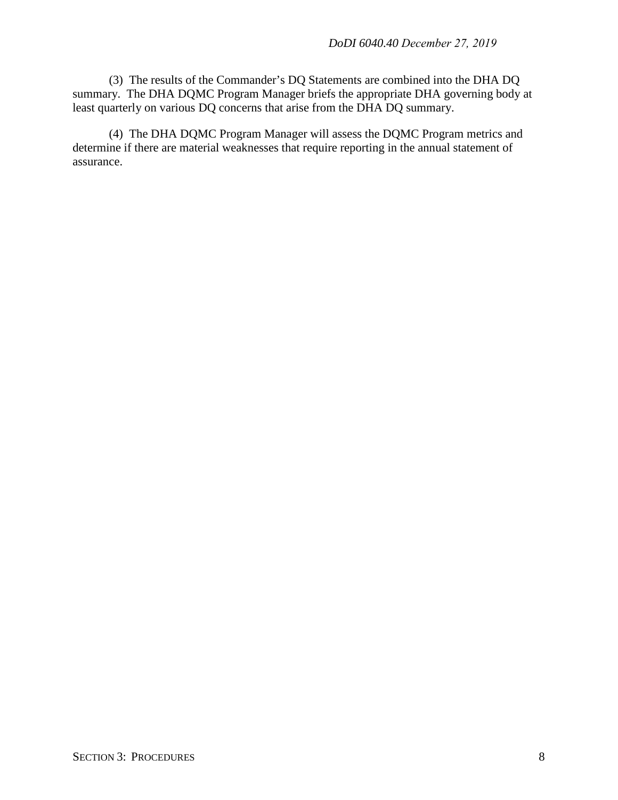(3) The results of the Commander's DQ Statements are combined into the DHA DQ summary. The DHA DQMC Program Manager briefs the appropriate DHA governing body at least quarterly on various DQ concerns that arise from the DHA DQ summary.

(4) The DHA DQMC Program Manager will assess the DQMC Program metrics and determine if there are material weaknesses that require reporting in the annual statement of assurance.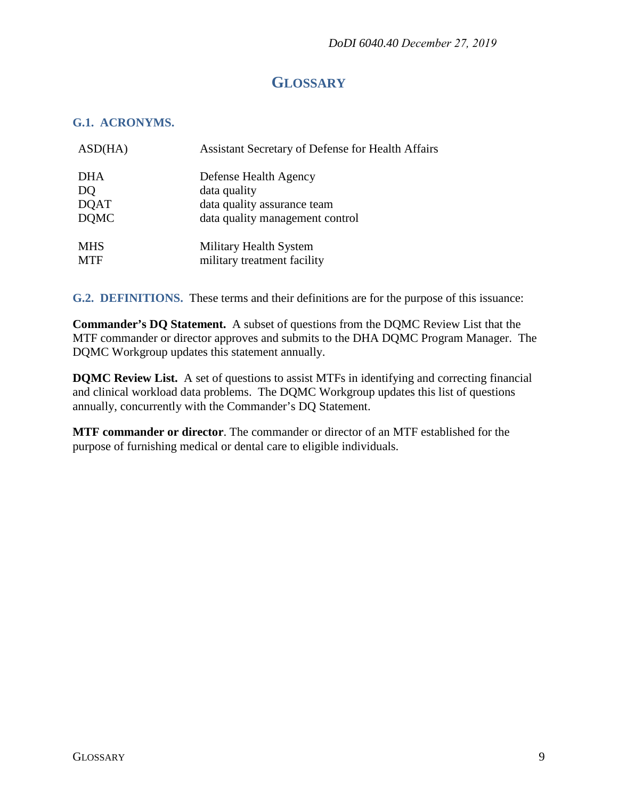## **GLOSSARY**

#### <span id="page-8-1"></span><span id="page-8-0"></span>**G.1. ACRONYMS.**

| ASD(HA)     | <b>Assistant Secretary of Defense for Health Affairs</b> |
|-------------|----------------------------------------------------------|
| <b>DHA</b>  | Defense Health Agency                                    |
| DQ          | data quality                                             |
| <b>DQAT</b> | data quality assurance team                              |
| <b>DOMC</b> | data quality management control                          |
| <b>MHS</b>  | Military Health System                                   |
| <b>MTF</b>  | military treatment facility                              |

<span id="page-8-2"></span>**G.2. DEFINITIONS.** These terms and their definitions are for the purpose of this issuance:

**Commander's DQ Statement.** A subset of questions from the DQMC Review List that the MTF commander or director approves and submits to the DHA DQMC Program Manager. The DQMC Workgroup updates this statement annually.

**DQMC Review List.** A set of questions to assist MTFs in identifying and correcting financial and clinical workload data problems. The DQMC Workgroup updates this list of questions annually, concurrently with the Commander's DQ Statement.

**MTF commander or director**. The commander or director of an MTF established for the purpose of furnishing medical or dental care to eligible individuals.